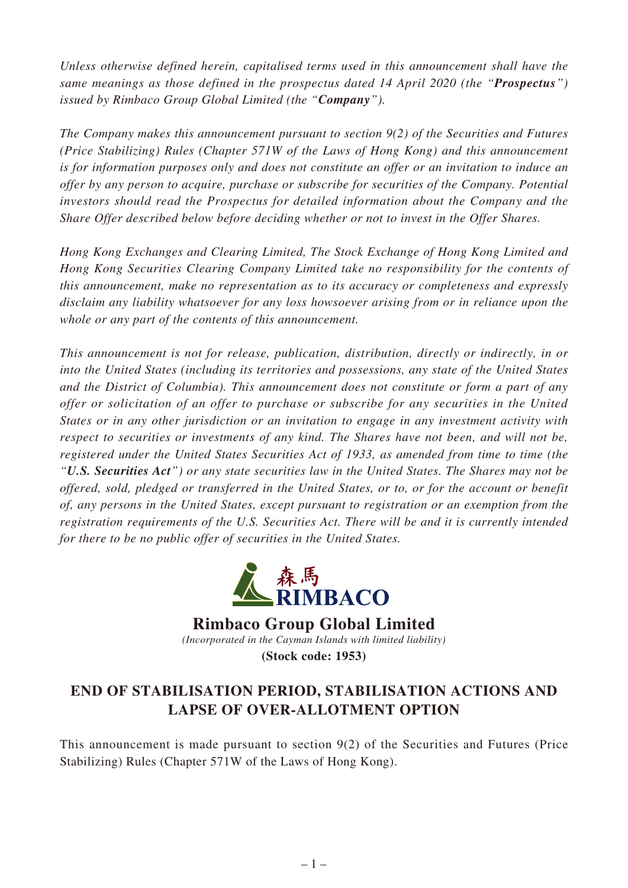*Unless otherwise defined herein, capitalised terms used in this announcement shall have the same meanings as those defined in the prospectus dated 14 April 2020 (the "Prospectus") issued by Rimbaco Group Global Limited (the "Company").*

*The Company makes this announcement pursuant to section 9(2) of the Securities and Futures (Price Stabilizing) Rules (Chapter 571W of the Laws of Hong Kong) and this announcement is for information purposes only and does not constitute an offer or an invitation to induce an offer by any person to acquire, purchase or subscribe for securities of the Company. Potential investors should read the Prospectus for detailed information about the Company and the Share Offer described below before deciding whether or not to invest in the Offer Shares.*

*Hong Kong Exchanges and Clearing Limited, The Stock Exchange of Hong Kong Limited and Hong Kong Securities Clearing Company Limited take no responsibility for the contents of this announcement, make no representation as to its accuracy or completeness and expressly disclaim any liability whatsoever for any loss howsoever arising from or in reliance upon the whole or any part of the contents of this announcement.*

*This announcement is not for release, publication, distribution, directly or indirectly, in or into the United States (including its territories and possessions, any state of the United States and the District of Columbia). This announcement does not constitute or form a part of any offer or solicitation of an offer to purchase or subscribe for any securities in the United States or in any other jurisdiction or an invitation to engage in any investment activity with respect to securities or investments of any kind. The Shares have not been, and will not be, registered under the United States Securities Act of 1933, as amended from time to time (the "U.S. Securities Act") or any state securities law in the United States. The Shares may not be offered, sold, pledged or transferred in the United States, or to, or for the account or benefit of, any persons in the United States, except pursuant to registration or an exemption from the registration requirements of the U.S. Securities Act. There will be and it is currently intended for there to be no public offer of securities in the United States.*



**Rimbaco Group Global Limited**

*(Incorporated in the Cayman Islands with limited liability)*

**(Stock code: 1953)**

## **END OF STABILISATION PERIOD, STABILISATION ACTIONS AND LAPSE OF OVER-ALLOTMENT OPTION**

This announcement is made pursuant to section  $9(2)$  of the Securities and Futures (Price Stabilizing) Rules (Chapter 571W of the Laws of Hong Kong).